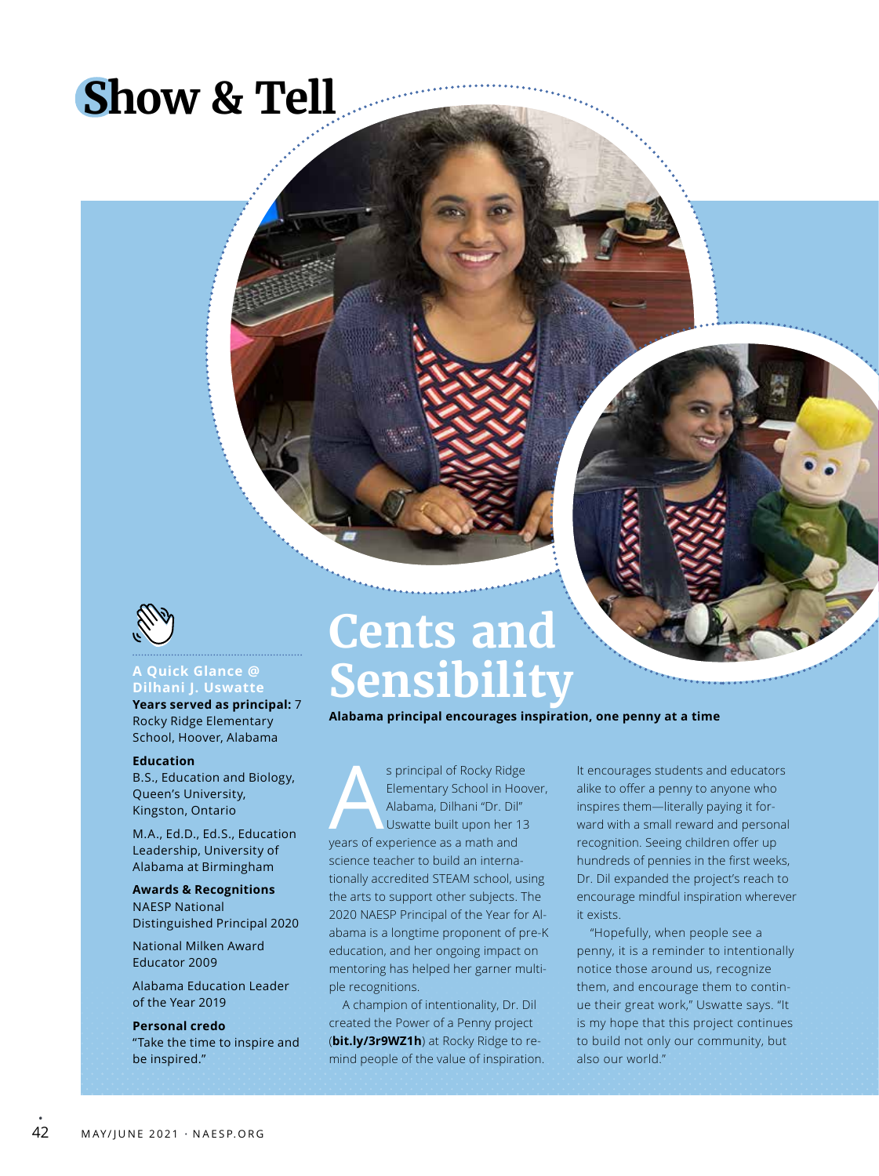# **Show & Tell**



### **A Quick Glance @ Dilhani J. Uswatte**

**Years served as principal:** 7 Rocky Ridge Elementary School, Hoover, Alabama

#### **Education**

B.S., Education and Biology, Queen's University, Kingston, Ontario

M.A., Ed.D., Ed.S., Education Leadership, University of Alabama at Birmingham

### **Awards & Recognitions** NAESP National

Distinguished Principal 2020

National Milken Award Educator 2009

Alabama Education Leader of the Year 2019

**Personal credo** "Take the time to inspire and be inspired."

## **Cents and Sensibility**

**Alabama principal encourages inspiration, one penny at a time**

s principal of Rocky Ridge<br>
Elementary School in Hoo<br>
Alabama, Dilhani "Dr. Dil"<br>
Uswatte built upon her 13<br>
years of experience as a math and Elementary School in Hoover, Alabama, Dilhani "Dr. Dil" Uswatte built upon her 13 science teacher to build an internationally accredited STEAM school, using the arts to support other subjects. The 2020 NAESP Principal of the Year for Alabama is a longtime proponent of pre-K education, and her ongoing impact on mentoring has helped her garner multiple recognitions.

A champion of intentionality, Dr. Dil created the Power of a Penny project (**bit.ly/3r9WZ1h**) at Rocky Ridge to remind people of the value of inspiration.

It encourages students and educators alike to offer a penny to anyone who inspires them—literally paying it forward with a small reward and personal recognition. Seeing children offer up hundreds of pennies in the first weeks, Dr. Dil expanded the project's reach to encourage mindful inspiration wherever it exists.

"Hopefully, when people see a penny, it is a reminder to intentionally notice those around us, recognize them, and encourage them to continue their great work," Uswatte says. "It is my hope that this project continues to build not only our community, but also our world."